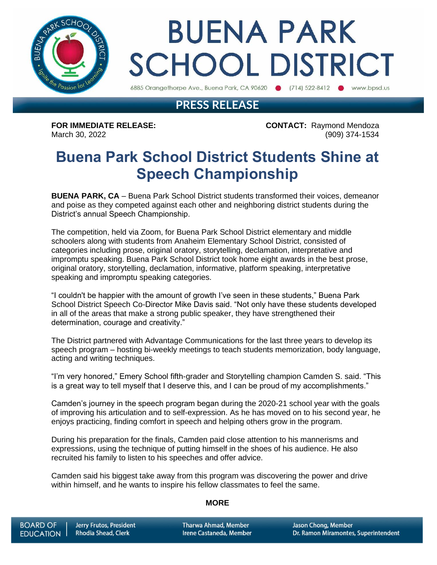

# **BUENA PARK SCHOOL DISTRICT**

6885 Orangethorpe Ave., Buena Park, CA 90620 (714) 522-8412 Www.bpsd.us

### **PRESS RELEASE**

**FOR IMMEDIATE RELEASE: CONTACT:** Raymond Mendoza March 30, 2022 (909) 374-1534

### **Buena Park School District Students Shine at Speech Championship**

**BUENA PARK, CA** – Buena Park School District students transformed their voices, demeanor and poise as they competed against each other and neighboring district students during the District's annual Speech Championship.

The competition, held via Zoom, for Buena Park School District elementary and middle schoolers along with students from Anaheim Elementary School District, consisted of categories including prose, original oratory, storytelling, declamation, interpretative and impromptu speaking. Buena Park School District took home eight awards in the best prose, original oratory, storytelling, declamation, informative, platform speaking, interpretative speaking and impromptu speaking categories.

"I couldn't be happier with the amount of growth I've seen in these students," Buena Park School District Speech Co-Director Mike Davis said. "Not only have these students developed in all of the areas that make a strong public speaker, they have strengthened their determination, courage and creativity."

The District partnered with Advantage Communications for the last three years to develop its speech program – hosting bi-weekly meetings to teach students memorization, body language, acting and writing techniques.

"I'm very honored," Emery School fifth-grader and Storytelling champion Camden S. said. "This is a great way to tell myself that I deserve this, and I can be proud of my accomplishments."

Camden's journey in the speech program began during the 2020-21 school year with the goals of improving his articulation and to self-expression. As he has moved on to his second year, he enjoys practicing, finding comfort in speech and helping others grow in the program.

During his preparation for the finals, Camden paid close attention to his mannerisms and expressions, using the technique of putting himself in the shoes of his audience. He also recruited his family to listen to his speeches and offer advice.

Camden said his biggest take away from this program was discovering the power and drive within himself, and he wants to inspire his fellow classmates to feel the same.

#### **MORE**

**Tharwa Ahmad, Member** Irene Castaneda, Member